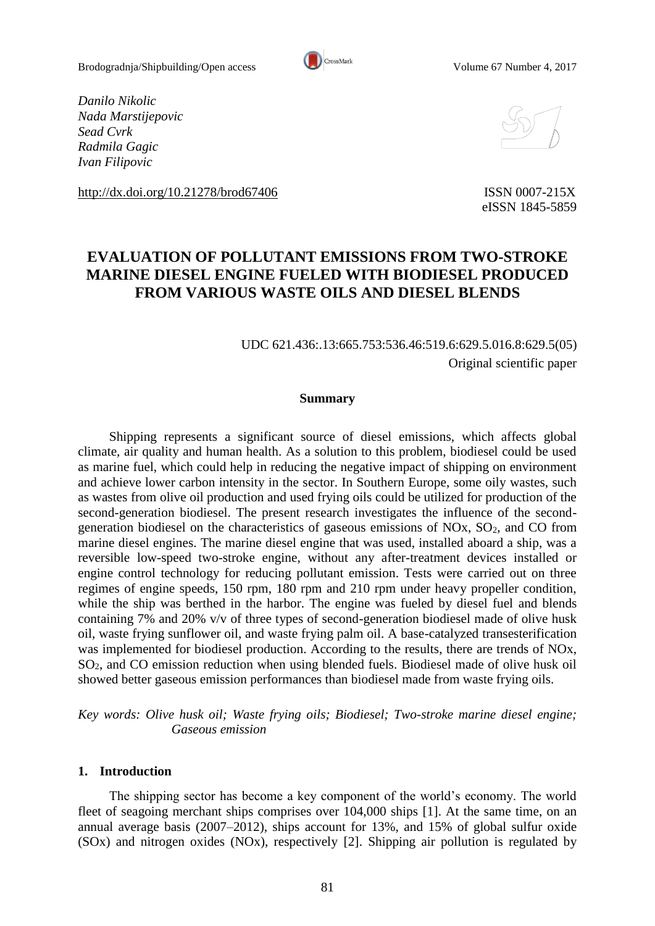

*Danilo Nikolic Nada Marstijepovic Sead Cvrk Radmila Gagic Ivan Filipovic* 

<http://dx.doi.org/10.21278/brod67406> ISSN 0007-215X



eISSN 1845-5859

# **EVALUATION OF POLLUTANT EMISSIONS FROM TWO-STROKE MARINE DIESEL ENGINE FUELED WITH BIODIESEL PRODUCED FROM VARIOUS WASTE OILS AND DIESEL BLENDS**

## UDC 621.436:.13:665.753:536.46:519.6:629.5.016.8:629.5(05) Original scientific paper

#### **Summary**

Shipping represents a significant source of diesel emissions, which affects global climate, air quality and human health. As a solution to this problem, biodiesel could be used as marine fuel, which could help in reducing the negative impact of shipping on environment and achieve lower carbon intensity in the sector. In Southern Europe, some oily wastes, such as wastes from olive oil production and used frying oils could be utilized for production of the second-generation biodiesel. The present research investigates the influence of the secondgeneration biodiesel on the characteristics of gaseous emissions of NOx,  $SO<sub>2</sub>$ , and CO from marine diesel engines. The marine diesel engine that was used, installed aboard a ship, was a reversible low-speed two-stroke engine, without any after-treatment devices installed or engine control technology for reducing pollutant emission. Tests were carried out on three regimes of engine speeds, 150 rpm, 180 rpm and 210 rpm under heavy propeller condition, while the ship was berthed in the harbor. The engine was fueled by diesel fuel and blends containing 7% and 20% v/v of three types of second-generation biodiesel made of olive husk oil, waste frying sunflower oil, and waste frying palm oil. A base-catalyzed transesterification was implemented for biodiesel production. According to the results, there are trends of NOx, SO2, and CO emission reduction when using blended fuels. Biodiesel made of olive husk oil showed better gaseous emission performances than biodiesel made from waste frying oils.

*Key words: Olive husk oil; Waste frying oils; Biodiesel; Two-stroke marine diesel engine; Gaseous emission*

#### **1. Introduction**

The shipping sector has become a key component of the world's economy. The world fleet of seagoing merchant ships comprises over 104,000 ships [1]. At the same time, on an annual average basis (2007–2012), ships account for 13%, and 15% of global sulfur oxide (SOx) and nitrogen oxides (NOx), respectively [2]. Shipping air pollution is regulated by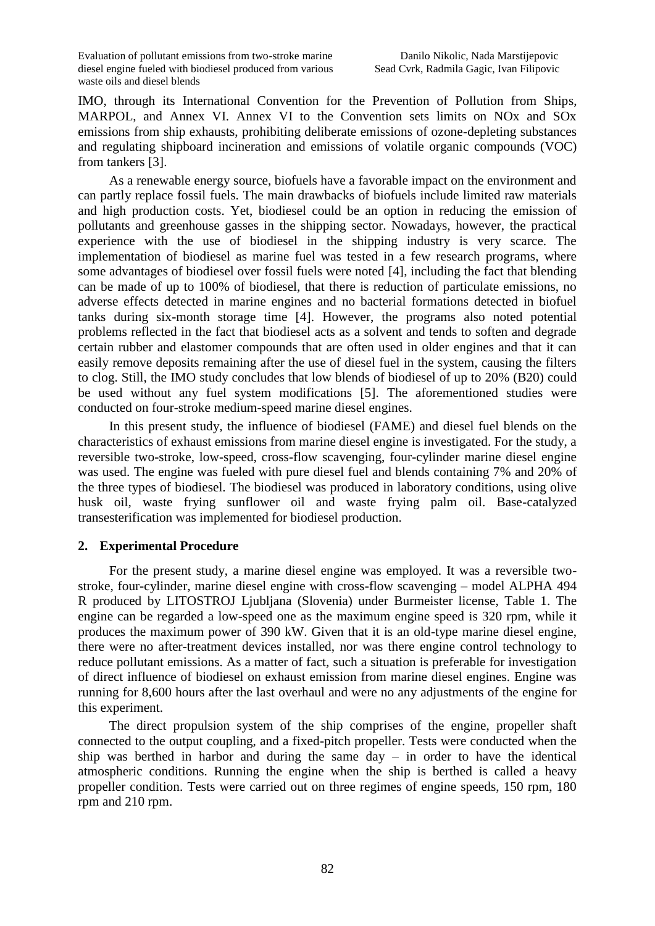IMO, through its International Convention for the Prevention of Pollution from Ships, MARPOL, and Annex VI. Annex VI to the Convention sets limits on NOx and SOx emissions from ship exhausts, prohibiting deliberate emissions of ozone-depleting substances and regulating shipboard incineration and emissions of volatile organic compounds (VOC) from tankers [3].

As a renewable energy source, biofuels have a favorable impact on the environment and can partly replace fossil fuels. The main drawbacks of biofuels include limited raw materials and high production costs. Yet, biodiesel could be an option in reducing the emission of pollutants and greenhouse gasses in the shipping sector. Nowadays, however, the practical experience with the use of biodiesel in the shipping industry is very scarce. The implementation of biodiesel as marine fuel was tested in a few research programs, where some advantages of biodiesel over fossil fuels were noted [4], including the fact that blending can be made of up to 100% of biodiesel, that there is reduction of particulate emissions, no adverse effects detected in marine engines and no bacterial formations detected in biofuel tanks during six-month storage time [4]. However, the programs also noted potential problems reflected in the fact that biodiesel acts as a solvent and tends to soften and degrade certain rubber and elastomer compounds that are often used in older engines and that it can easily remove deposits remaining after the use of diesel fuel in the system, causing the filters to clog. Still, the IMO study concludes that low blends of biodiesel of up to 20% (B20) could be used without any fuel system modifications [5]. The aforementioned studies were conducted on four-stroke medium-speed marine diesel engines.

In this present study, the influence of biodiesel (FAME) and diesel fuel blends on the characteristics of exhaust emissions from marine diesel engine is investigated. For the study, a reversible two-stroke, low-speed, cross-flow scavenging, four-cylinder marine diesel engine was used. The engine was fueled with pure diesel fuel and blends containing 7% and 20% of the three types of biodiesel. The biodiesel was produced in laboratory conditions, using olive husk oil, waste frying sunflower oil and waste frying palm oil. Base-catalyzed transesterification was implemented for biodiesel production.

## **2. Experimental Procedure**

For the present study, a marine diesel engine was employed. It was a reversible twostroke, four-cylinder, marine diesel engine with cross-flow scavenging – model ALPHA 494 R produced by LITOSTROJ Ljubljana (Slovenia) under Burmeister license, Table 1. The engine can be regarded a low-speed one as the maximum engine speed is 320 rpm, while it produces the maximum power of 390 kW. Given that it is an old-type marine diesel engine, there were no after-treatment devices installed, nor was there engine control technology to reduce pollutant emissions. As a matter of fact, such a situation is preferable for investigation of direct influence of biodiesel on exhaust emission from marine diesel engines. Engine was running for 8,600 hours after the last overhaul and were no any adjustments of the engine for this experiment.

The direct propulsion system of the ship comprises of the engine, propeller shaft connected to the output coupling, and a fixed-pitch propeller. Tests were conducted when the ship was berthed in harbor and during the same day – in order to have the identical atmospheric conditions. Running the engine when the ship is berthed is called a heavy propeller condition. Tests were carried out on three regimes of engine speeds, 150 rpm, 180 rpm and 210 rpm.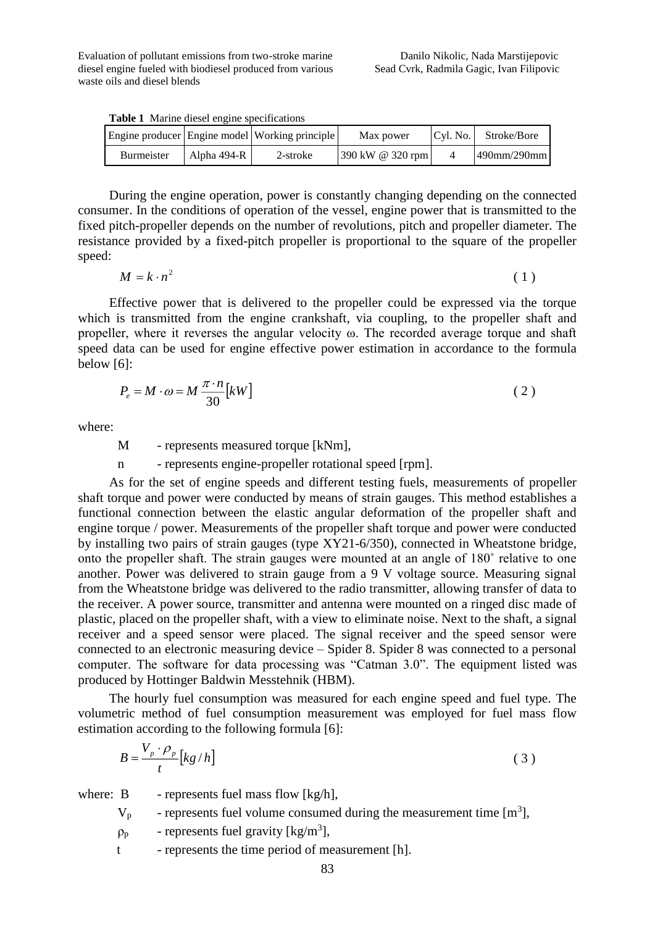**Table 1** Marine diesel engine specifications

|                   |             | Engine producer Engine model Working principle | Max power                              | Cvl. No. | Stroke/Bore    |
|-------------------|-------------|------------------------------------------------|----------------------------------------|----------|----------------|
| <b>Burmeister</b> | Alpha 494-R | 2-stroke                                       | $390 \text{ kW} \ @ \ 320 \text{ rpm}$ |          | $490$ mm/290mm |

During the engine operation, power is constantly changing depending on the connected consumer. In the conditions of operation of the vessel, engine power that is transmitted to the fixed pitch-propeller depends on the number of revolutions, pitch and propeller diameter. The resistance provided by a fixed-pitch propeller is proportional to the square of the propeller speed:

$$
M = k \cdot n^2 \tag{1}
$$

Effective power that is delivered to the propeller could be expressed via the torque which is transmitted from the engine crankshaft, via coupling, to the propeller shaft and propeller, where it reverses the angular velocity ω. The recorded average torque and shaft speed data can be used for engine effective power estimation in accordance to the formula below [6]:

$$
P_e = M \cdot \omega = M \frac{\pi \cdot n}{30} [kW]
$$
 (2)

where:

M - represents measured torque [kNm],

n - represents engine-propeller rotational speed [rpm].

As for the set of engine speeds and different testing fuels, measurements of propeller shaft torque and power were conducted by means of strain gauges. This method establishes a functional connection between the elastic angular deformation of the propeller shaft and engine torque / power. Measurements of the propeller shaft torque and power were conducted by installing two pairs of strain gauges (type XY21-6/350), connected in Wheatstone bridge, onto the propeller shaft. The strain gauges were mounted at an angle of 180˚ relative to one another. Power was delivered to strain gauge from a 9 V voltage source. Measuring signal from the Wheatstone bridge was delivered to the radio transmitter, allowing transfer of data to the receiver. A power source, transmitter and antenna were mounted on a ringed disc made of plastic, placed on the propeller shaft, with a view to eliminate noise. Next to the shaft, a signal receiver and a speed sensor were placed. The signal receiver and the speed sensor were connected to an electronic measuring device – Spider 8. Spider 8 was connected to a personal computer. The software for data processing was "Catman 3.0". The equipment listed was produced by Hottinger Baldwin Messtehnik (HBM).

The hourly fuel consumption was measured for each engine speed and fuel type. The volumetric method of fuel consumption measurement was employed for fuel mass flow estimation according to the following formula [6]:

$$
B = \frac{V_p \cdot \rho_p}{t} \left[ kg / h \right] \tag{3}
$$

where:  $B$  - represents fuel mass flow  $[kg/h]$ ,

- $V_p$  represents fuel volume consumed during the measurement time [m<sup>3</sup>],
- $\rho_p$  represents fuel gravity [kg/m<sup>3</sup>],
- t represents the time period of measurement [h].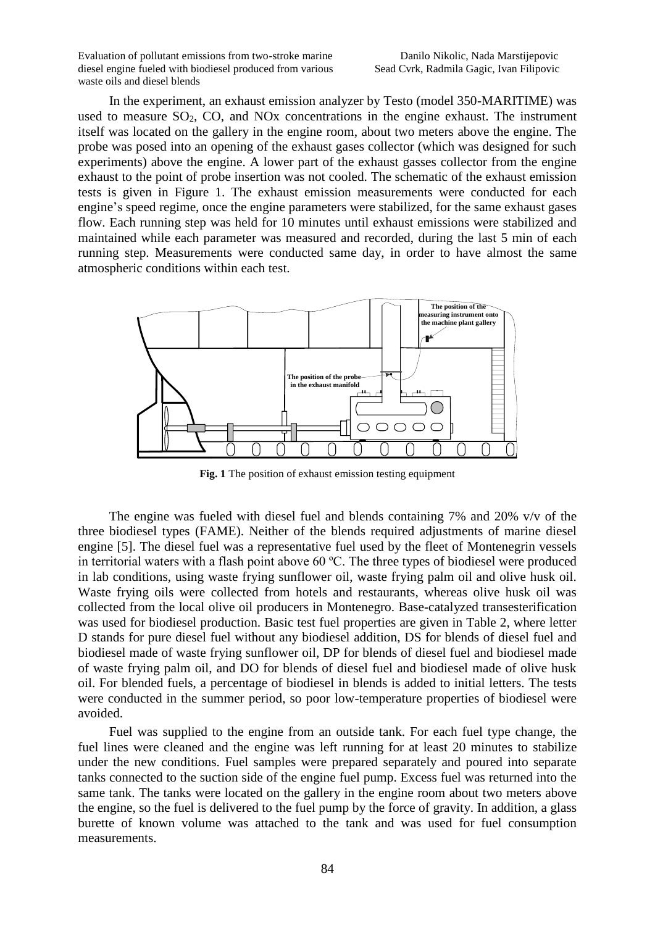In the experiment, an exhaust emission analyzer by Testo (model 350-MARITIME) was used to measure SO<sub>2</sub>, CO, and NO<sub>x</sub> concentrations in the engine exhaust. The instrument itself was located on the gallery in the engine room, about two meters above the engine. The probe was posed into an opening of the exhaust gases collector (which was designed for such experiments) above the engine. A lower part of the exhaust gasses collector from the engine exhaust to the point of probe insertion was not cooled. The schematic of the exhaust emission tests is given in Figure 1. The exhaust emission measurements were conducted for each engine's speed regime, once the engine parameters were stabilized, for the same exhaust gases flow. Each running step was held for 10 minutes until exhaust emissions were stabilized and maintained while each parameter was measured and recorded, during the last 5 min of each running step. Measurements were conducted same day, in order to have almost the same atmospheric conditions within each test.



**Fig. 1** The position of exhaust emission testing equipment

The engine was fueled with diesel fuel and blends containing 7% and 20% v/v of the three biodiesel types (FAME). Neither of the blends required adjustments of marine diesel engine [5]. The diesel fuel was a representative fuel used by the fleet of Montenegrin vessels in territorial waters with a flash point above 60 ºC. The three types of biodiesel were produced in lab conditions, using waste frying sunflower oil, waste frying palm oil and olive husk oil. Waste frying oils were collected from hotels and restaurants, whereas olive husk oil was collected from the local olive oil producers in Montenegro. Base-catalyzed transesterification was used for biodiesel production. Basic test fuel properties are given in Table 2, where letter D stands for pure diesel fuel without any biodiesel addition, DS for blends of diesel fuel and biodiesel made of waste frying sunflower oil, DP for blends of diesel fuel and biodiesel made of waste frying palm oil, and DO for blends of diesel fuel and biodiesel made of olive husk oil. For blended fuels, a percentage of biodiesel in blends is added to initial letters. The tests were conducted in the summer period, so poor low-temperature properties of biodiesel were avoided.

Fuel was supplied to the engine from an outside tank. For each fuel type change, the fuel lines were cleaned and the engine was left running for at least 20 minutes to stabilize under the new conditions. Fuel samples were prepared separately and poured into separate tanks connected to the suction side of the engine fuel pump. Excess fuel was returned into the same tank. The tanks were located on the gallery in the engine room about two meters above the engine, so the fuel is delivered to the fuel pump by the force of gravity. In addition, a glass burette of known volume was attached to the tank and was used for fuel consumption measurements.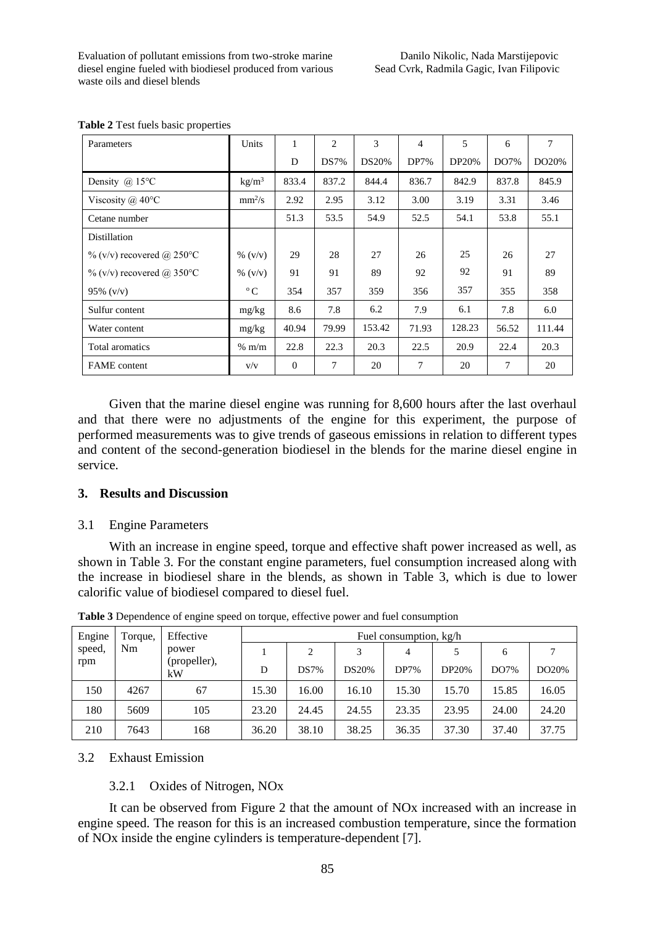| Parameters                    | Units           | 1        | 2     | 3            | $\overline{4}$ | 5            | 6     | 7      |
|-------------------------------|-----------------|----------|-------|--------------|----------------|--------------|-------|--------|
|                               |                 | D        | DS7%  | <b>DS20%</b> | DP7%           | <b>DP20%</b> | DO7%  | DO20%  |
| Density $\omega$ 15°C         | $\text{kg/m}^3$ | 833.4    | 837.2 | 844.4        | 836.7          | 842.9        | 837.8 | 845.9  |
| Viscosity $(a)$ 40°C          | $mm^2/s$        | 2.92     | 2.95  | 3.12         | 3.00           | 3.19         | 3.31  | 3.46   |
| Cetane number                 |                 | 51.3     | 53.5  | 54.9         | 52.5           | 54.1         | 53.8  | 55.1   |
| <b>Distillation</b>           |                 |          |       |              |                |              |       |        |
| $\%$ (v/v) recovered @ 250 °C | % $(v/v)$       | 29       | 28    | 27           | 26             | 25           | 26    | 27     |
| $\%$ (v/v) recovered @ 350 °C | $\%$ (v/v)      | 91       | 91    | 89           | 92             | 92           | 91    | 89     |
| $95\%$ (v/v)                  | $\rm ^{o}C$     | 354      | 357   | 359          | 356            | 357          | 355   | 358    |
| Sulfur content                | mg/kg           | 8.6      | 7.8   | 6.2          | 7.9            | 6.1          | 7.8   | 6.0    |
| Water content                 | mg/kg           | 40.94    | 79.99 | 153.42       | 71.93          | 128.23       | 56.52 | 111.44 |
| Total aromatics               | $%$ m/m         | 22.8     | 22.3  | 20.3         | 22.5           | 20.9         | 22.4  | 20.3   |
| <b>FAME</b> content           | V/V             | $\Omega$ | 7     | 20           | 7              | 20           | 7     | 20     |

**Table 2** Test fuels basic properties

Given that the marine diesel engine was running for 8,600 hours after the last overhaul and that there were no adjustments of the engine for this experiment, the purpose of performed measurements was to give trends of gaseous emissions in relation to different types and content of the second-generation biodiesel in the blends for the marine diesel engine in service.

#### **3. Results and Discussion**

#### 3.1 Engine Parameters

With an increase in engine speed, torque and effective shaft power increased as well, as shown in Table 3. For the constant engine parameters, fuel consumption increased along with the increase in biodiesel share in the blends, as shown in Table 3, which is due to lower calorific value of biodiesel compared to diesel fuel.

| Engine              | Torque,                     | Effective | Fuel consumption, kg/h |              |         |              |       |       |       |
|---------------------|-----------------------------|-----------|------------------------|--------------|---------|--------------|-------|-------|-------|
| speed,<br>Nm<br>rpm | power<br>(propeller),<br>kW |           | 2                      | 3            | 4       |              | 6     |       |       |
|                     |                             | D         | DS7%                   | <b>DS20%</b> | $DP7\%$ | <b>DP20%</b> | DO7%  | DO20% |       |
| 150                 | 4267                        | 67        | 15.30                  | 16.00        | 16.10   | 15.30        | 15.70 | 15.85 | 16.05 |
| 180                 | 5609                        | 105       | 23.20                  | 24.45        | 24.55   | 23.35        | 23.95 | 24.00 | 24.20 |
| 210                 | 7643                        | 168       | 36.20                  | 38.10        | 38.25   | 36.35        | 37.30 | 37.40 | 37.75 |

**Table 3** Dependence of engine speed on torque, effective power and fuel consumption

#### 3.2 Exhaust Emission

#### 3.2.1 Oxides of Nitrogen, NOx

It can be observed from Figure 2 that the amount of NOx increased with an increase in engine speed. The reason for this is an increased combustion temperature, since the formation of NOx inside the engine cylinders is temperature-dependent [7].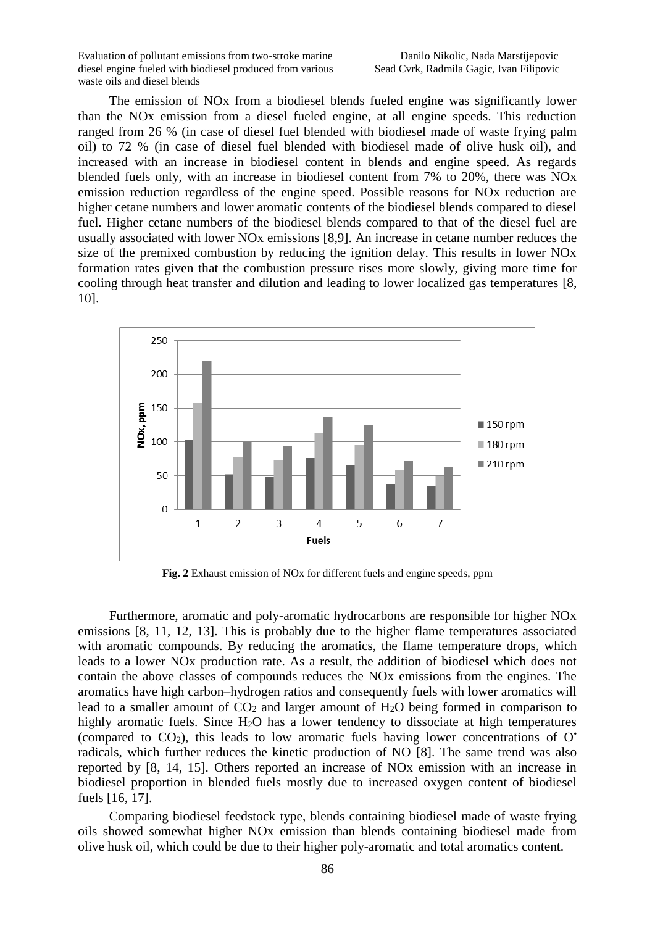The emission of NOx from a biodiesel blends fueled engine was significantly lower than the NOx emission from a diesel fueled engine, at all engine speeds. This reduction ranged from 26 % (in case of diesel fuel blended with biodiesel made of waste frying palm oil) to 72 % (in case of diesel fuel blended with biodiesel made of olive husk oil), and increased with an increase in biodiesel content in blends and engine speed. As regards blended fuels only, with an increase in biodiesel content from 7% to 20%, there was NOx emission reduction regardless of the engine speed. Possible reasons for NOx reduction are higher cetane numbers and lower aromatic contents of the biodiesel blends compared to diesel fuel. Higher cetane numbers of the biodiesel blends compared to that of the diesel fuel are usually associated with lower NOx emissions [8,9]. An increase in cetane number reduces the size of the premixed combustion by reducing the ignition delay. This results in lower NOx formation rates given that the combustion pressure rises more slowly, giving more time for cooling through heat transfer and dilution and leading to lower localized gas temperatures [8, 10].



**Fig. 2** Exhaust emission of NOx for different fuels and engine speeds, ppm

Furthermore, aromatic and poly-aromatic hydrocarbons are responsible for higher NOx emissions [8, 11, 12, 13]. This is probably due to the higher flame temperatures associated with aromatic compounds. By reducing the aromatics, the flame temperature drops, which leads to a lower NOx production rate. As a result, the addition of biodiesel which does not contain the above classes of compounds reduces the NOx emissions from the engines. The aromatics have high carbon–hydrogen ratios and consequently fuels with lower aromatics will lead to a smaller amount of  $CO<sub>2</sub>$  and larger amount of  $H<sub>2</sub>O$  being formed in comparison to highly aromatic fuels. Since H<sub>2</sub>O has a lower tendency to dissociate at high temperatures (compared to  $CO<sub>2</sub>$ ), this leads to low aromatic fuels having lower concentrations of  $O^*$ radicals, which further reduces the kinetic production of NO [8]. The same trend was also reported by [8, 14, 15]. Others reported an increase of NOx emission with an increase in biodiesel proportion in blended fuels mostly due to increased oxygen content of biodiesel fuels [16, 17].

Comparing biodiesel feedstock type, blends containing biodiesel made of waste frying oils showed somewhat higher NOx emission than blends containing biodiesel made from olive husk oil, which could be due to their higher poly-aromatic and total aromatics content.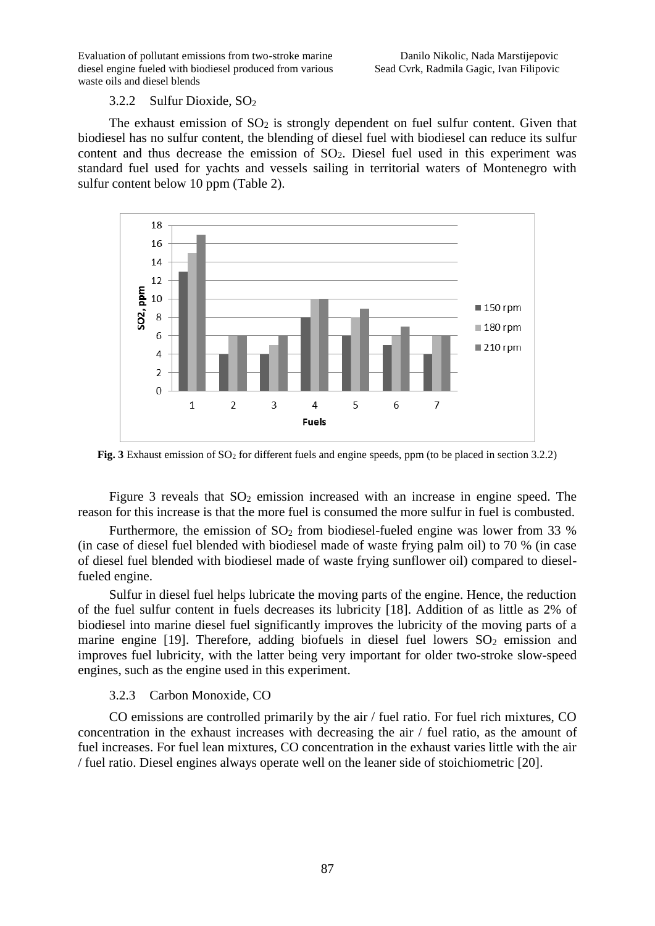#### 3.2.2 Sulfur Dioxide, SO<sup>2</sup>

The exhaust emission of  $SO<sub>2</sub>$  is strongly dependent on fuel sulfur content. Given that biodiesel has no sulfur content, the blending of diesel fuel with biodiesel can reduce its sulfur content and thus decrease the emission of  $SO<sub>2</sub>$ . Diesel fuel used in this experiment was standard fuel used for yachts and vessels sailing in territorial waters of Montenegro with sulfur content below 10 ppm (Table 2).



**Fig. 3** Exhaust emission of SO<sub>2</sub> for different fuels and engine speeds, ppm (to be placed in section 3.2.2)

Figure 3 reveals that  $SO_2$  emission increased with an increase in engine speed. The reason for this increase is that the more fuel is consumed the more sulfur in fuel is combusted.

Furthermore, the emission of  $SO<sub>2</sub>$  from biodiesel-fueled engine was lower from 33 % (in case of diesel fuel blended with biodiesel made of waste frying palm oil) to 70 % (in case of diesel fuel blended with biodiesel made of waste frying sunflower oil) compared to dieselfueled engine.

Sulfur in diesel fuel helps lubricate the moving parts of the engine. Hence, the reduction of the fuel sulfur content in fuels decreases its lubricity [18]. Addition of as little as 2% of biodiesel into marine diesel fuel significantly improves the lubricity of the moving parts of a marine engine  $[19]$ . Therefore, adding biofuels in diesel fuel lowers  $SO_2$  emission and improves fuel lubricity, with the latter being very important for older two-stroke slow-speed engines, such as the engine used in this experiment.

### 3.2.3 Carbon Monoxide, CO

CO emissions are controlled primarily by the air / fuel ratio. For fuel rich mixtures, CO concentration in the exhaust increases with decreasing the air / fuel ratio, as the amount of fuel increases. For fuel lean mixtures, CO concentration in the exhaust varies little with the air / fuel ratio. Diesel engines always operate well on the leaner side of stoichiometric [20].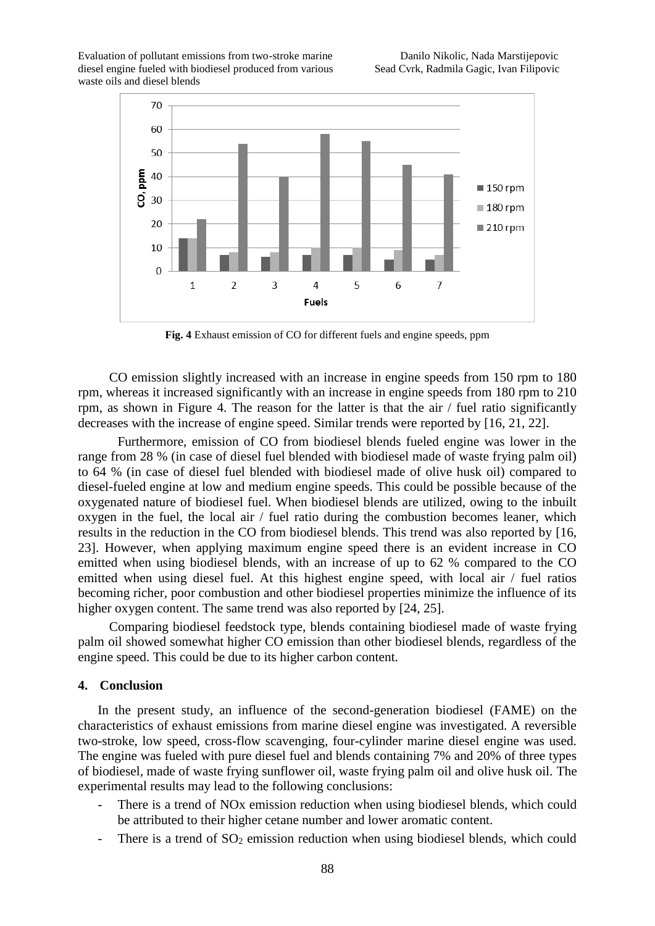

**Fig. 4** Exhaust emission of CO for different fuels and engine speeds, ppm

CO emission slightly increased with an increase in engine speeds from 150 rpm to 180 rpm, whereas it increased significantly with an increase in engine speeds from 180 rpm to 210 rpm, as shown in Figure 4. The reason for the latter is that the air / fuel ratio significantly decreases with the increase of engine speed. Similar trends were reported by [16, 21, 22].

Furthermore, emission of CO from biodiesel blends fueled engine was lower in the range from 28 % (in case of diesel fuel blended with biodiesel made of waste frying palm oil) to 64 % (in case of diesel fuel blended with biodiesel made of olive husk oil) compared to diesel-fueled engine at low and medium engine speeds. This could be possible because of the oxygenated nature of biodiesel fuel. When biodiesel blends are utilized, owing to the inbuilt oxygen in the fuel, the local air / fuel ratio during the combustion becomes leaner, which results in the reduction in the CO from biodiesel blends. This trend was also reported by [16, 23]. However, when applying maximum engine speed there is an evident increase in CO emitted when using biodiesel blends, with an increase of up to 62 % compared to the CO emitted when using diesel fuel. At this highest engine speed, with local air / fuel ratios becoming richer, poor combustion and other biodiesel properties minimize the influence of its higher oxygen content. The same trend was also reported by [24, 25].

Comparing biodiesel feedstock type, blends containing biodiesel made of waste frying palm oil showed somewhat higher CO emission than other biodiesel blends, regardless of the engine speed. This could be due to its higher carbon content.

#### **4. Conclusion**

In the present study, an influence of the second-generation biodiesel (FAME) on the characteristics of exhaust emissions from marine diesel engine was investigated. A reversible two-stroke, low speed, cross-flow scavenging, four-cylinder marine diesel engine was used. The engine was fueled with pure diesel fuel and blends containing 7% and 20% of three types of biodiesel, made of waste frying sunflower oil, waste frying palm oil and olive husk oil. The experimental results may lead to the following conclusions:

- There is a trend of NO<sub>x</sub> emission reduction when using biodiesel blends, which could be attributed to their higher cetane number and lower aromatic content.
- There is a trend of  $SO_2$  emission reduction when using biodiesel blends, which could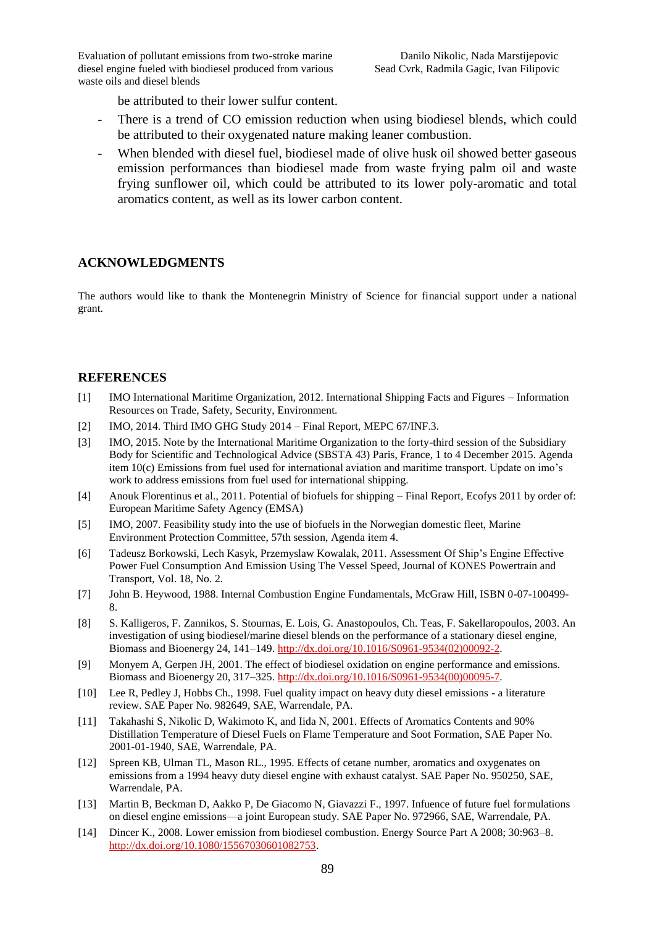be attributed to their lower sulfur content.

- There is a trend of CO emission reduction when using biodiesel blends, which could be attributed to their oxygenated nature making leaner combustion.
- When blended with diesel fuel, biodiesel made of olive husk oil showed better gaseous emission performances than biodiesel made from waste frying palm oil and waste frying sunflower oil, which could be attributed to its lower poly-aromatic and total aromatics content, as well as its lower carbon content.

## **ACKNOWLEDGMENTS**

The authors would like to thank the Montenegrin Ministry of Science for financial support under a national grant.

## **REFERENCES**

- [1] IMO International Maritime Organization, 2012. International Shipping Facts and Figures Information Resources on Trade, Safety, Security, Environment.
- [2] IMO, 2014. Third IMO GHG Study 2014 Final Report, MEPC 67/INF.3.
- [3] IMO, 2015. Note by the International Maritime Organization to the forty-third session of the Subsidiary Body for Scientific and Technological Advice (SBSTA 43) Paris, France, 1 to 4 December 2015. Agenda item 10(c) Emissions from fuel used for international aviation and maritime transport. Update on imo's work to address emissions from fuel used for international shipping.
- [4] Anouk Florentinus et al., 2011. Potential of biofuels for shipping Final Report, Ecofys 2011 by order of: European Maritime Safety Agency (EMSA)
- [5] IMO, 2007. Feasibility study into the use of biofuels in the Norwegian domestic fleet, Marine Environment Protection Committee, 57th session, Agenda item 4.
- [6] Tadeusz Borkowski, Lech Kasyk, Przemyslaw Kowalak, 2011. Assessment Of Ship's Engine Effective Power Fuel Consumption And Emission Using The Vessel Speed, Journal of KONES Powertrain and Transport, Vol. 18, No. 2.
- [7] John B. Heywood, 1988. Internal Combustion Engine Fundamentals, McGraw Hill, ISBN 0-07-100499- 8.
- [8] S. Kalligeros, F. Zannikos, S. Stournas, E. Lois, G. Anastopoulos, Ch. Teas, F. Sakellaropoulos, 2003. An investigation of using biodiesel/marine diesel blends on the performance of a stationary diesel engine, Biomass and Bioenergy 24, 141–149. [http://dx.doi.org/10.1016/S0961-9534\(02\)00092-2.](http://dx.doi.org/10.1016/S0961-9534(02)00092-2)
- [9] Monyem A, Gerpen JH, 2001. The effect of biodiesel oxidation on engine performance and emissions. Biomass and Bioenergy 20, 317–325. [http://dx.doi.org/10.1016/S0961-9534\(00\)00095-7.](http://dx.doi.org/10.1016/S0961-9534(00)00095-7)
- [10] Lee R, Pedley J, Hobbs Ch., 1998. Fuel quality impact on heavy duty diesel emissions a literature review. SAE Paper No. 982649, SAE, Warrendale, PA.
- [11] Takahashi S, Nikolic D, Wakimoto K, and Iida N, 2001. Effects of Aromatics Contents and 90% Distillation Temperature of Diesel Fuels on Flame Temperature and Soot Formation, SAE Paper No. 2001-01-1940, SAE, Warrendale, PA.
- [12] Spreen KB, Ulman TL, Mason RL., 1995. Effects of cetane number, aromatics and oxygenates on emissions from a 1994 heavy duty diesel engine with exhaust catalyst. SAE Paper No. 950250, SAE, Warrendale, PA.
- [13] Martin B, Beckman D, Aakko P, De Giacomo N, Giavazzi F., 1997. Infuence of future fuel formulations on diesel engine emissions—a joint European study. SAE Paper No. 972966, SAE, Warrendale, PA.
- [14] Dincer K., 2008. Lower emission from biodiesel combustion. Energy Source Part A 2008; 30:963–8. [http://dx.doi.org/10.1080/15567030601082753.](http://dx.doi.org/10.1080/15567030601082753)